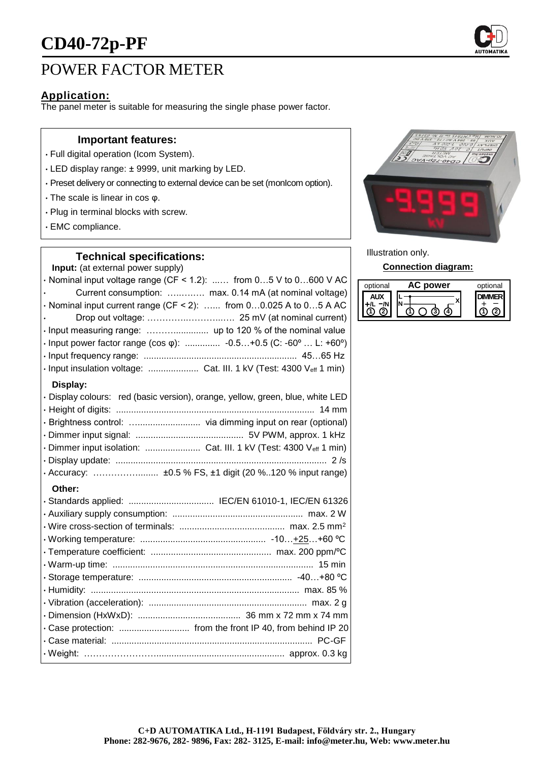# **CD40-72p-PF**



# POWER FACTOR METER

## **Application:**

The panel meter is suitable for measuring the single phase power factor.

#### **Important features:**

- Full digital operation (Icom System).
- LED display range: ± 9999, unit marking by LED.
- Preset delivery or connecting to external device can be set (monIcom option).
- The scale is linear in cos φ.
- Plug in terminal blocks with screw.
- EMC compliance.

#### **Technical specifications:**

**Input:** (at external power supply)

| $\cdot$ Nominal input voltage range (CF < 1.2):  from 05 V to 0600 V AC        |
|--------------------------------------------------------------------------------|
| Current consumption:  max. 0.14 mA (at nominal voltage)                        |
| $\cdot$ Nominal input current range (CF < 2):  from 00.025 A to 05 A AC        |
|                                                                                |
|                                                                                |
| · Input measuring range:  up to 120 % of the nominal value                     |
| • Input power factor range (cos $\varphi$ ):  -0.5+0.5 (C: -60°  L: +60°)      |
|                                                                                |
| · Input insulation voltage:  Cat. III. 1 kV (Test: 4300 Veff 1 min)            |
| Display:                                                                       |
| · Display colours: red (basic version), orange, yellow, green, blue, white LED |
|                                                                                |
| · Brightness control:  via dimming input on rear (optional)                    |
|                                                                                |
| · Dimmer input isolation:  Cat. III. 1 kV (Test: 4300 Veff 1 min)              |
|                                                                                |
| · Accuracy:  ±0.5 % FS, ±1 digit (20 %120 % input range)                       |
| Other:                                                                         |
| · Standards applied:  IEC/EN 61010-1, IEC/EN 61326                             |
|                                                                                |
|                                                                                |
|                                                                                |
|                                                                                |
|                                                                                |
|                                                                                |
|                                                                                |
|                                                                                |

• Vibration (acceleration): ............................................................... max. 2 g • Dimension (HxWxD): ......................................... 36 mm x 72 mm x 74 mm • Case protection: ............................ from the front IP 40, from behind IP 20 • Case material: ................................................................................ PC-GF • Weight: ……………………................................................... approx. 0.3 kg



Illustration only.

#### **Connection diagram:**

| optional | power | optional |
|----------|-------|----------|
|          |       |          |